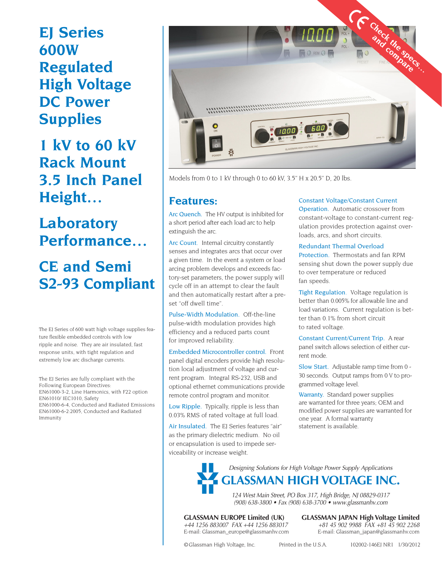# **EJ Series 600W Regulated High Voltage DC Power Supplies**

**1 kV to 60 kV Rack Mount 3.5 Inch Panel Height…**

**Laboratory Performance…**

## **CE and Semi S2-93 Compliant**

The EJ Series of 600 watt high voltage supplies feature flexible embedded controls with low ripple and noise. They are air insulated, fast response units, with tight regulation and extremely low arc discharge currents.

The EJ Series are fully compliant with the Following European Directives: EN61000-3-2, Line Harmonics, with F22 option EN61010/ IEC1010, Safety EN61000-6-4, Conducted and Radiated Emissions EN61000-6-2:2005, Conducted and Radiated Immunity



Models from 0 to 1 kV through 0 to 60 kV, 3.5" H x 20.5" D, 20 lbs.

### **Features:**

Arc Quench. The HV output is inhibited for a short period after each load arc to help extinguish the arc.

Arc Count. Internal circuitry constantly senses and integrates arcs that occur over a given time. In the event a system or load arcing problem develops and exceeds factory-set parameters, the power supply will cycle off in an attempt to clear the fault and then automatically restart after a preset "off dwell time".

Pulse-Width Modulation. Off-the-line pulse-width modulation provides high efficiency and a reduced parts count for improved reliability.

Embedded Microcontroller control. Front panel digital encoders provide high resolution local adjustment of voltage and current program. Integral RS-232, USB and optional ethernet communications provide remote control program and monitor.

Low Ripple. Typically, ripple is less than 0.03% RMS of rated voltage at full load.

Air Insulated. The EJ Series features "air" as the primary dielectric medium. No oil or encapsulation is used to impede serviceability or increase weight.

#### Constant Voltage/Constant Current

Operation. Automatic crossover from constant-voltage to constant-current regulation provides protection against overloads, arcs, and short circuits.

#### Redundant Thermal Overload

Protection. Thermostats and fan RPM sensing shut down the power supply due to over temperature or reduced fan speeds.

Tight Regulation. Voltage regulation is better than 0.005% for allowable line and load variations. Current regulation is better than 0.1% from short circuit to rated voltage.

Constant Current/Current Trip. A rear panel switch allows selection of either current mode.

Slow Start. Adjustable ramp time from 0 - 30 seconds. Output ramps from 0 V to programmed voltage level.

Warranty. Standard power supplies are warranted for three years; OEM and modified power supplies are warranted for one year. A formal warranty statement is available.

Designing Solutions for High Voltage Power Supply Applications **GLASSMAN HIGH VOLTAGE INC.**

> 124 West Main Street, PO Box 317, High Bridge, NJ 08829-0317 (908) 638-3800 • Fax (908) 638-3700 • www.glassmanhv.com

**GLASSMAN EUROPE Limited (UK) GLASSMAN JAPAN High Voltage Limited**  $+44$  1256 883007 FAX  $+44$  1256 883017  $+81$  45 902 9988 FAX  $+81$  45 902 2268 +81 45 902 9988 FAX +81 45 902 2268 E-mail: Glassman\_europe@glassmanhv.com E-mail: Glassman\_japan@glassmanhv.com

©Glassman High Voltage, Inc. Printed in the U.S.A. 102002-146EJ NR1 1/30/2012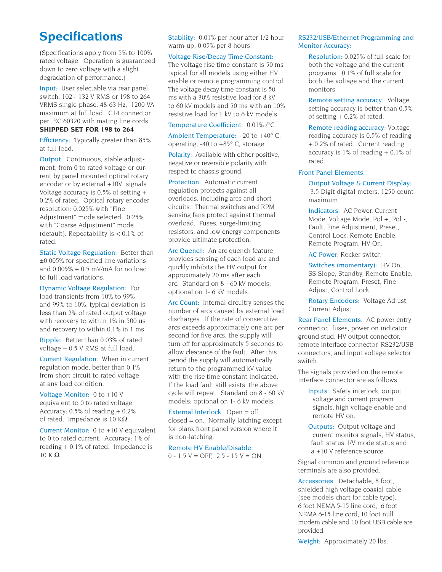### **Specifications**

(Specifications apply from 5% to 100% rated voltage. Operation is guaranteed down to zero voltage with a slight degradation of performance.)

Input: User selectable via rear panel switch, 102 - 132 V RMS or 198 to 264 VRMS single-phase, 48-63 Hz, 1200 VA maximum at full load. C14 connector per IEC 60320 with mating line cords **SHIPPED SET FOR 198 to 264**

Efficiency: Typically greater than 85% at full load.

Output: Continuous, stable adjustment, from 0 to rated voltage or current by panel mounted optical rotary encoder or by external +10V signals. Voltage accuracy is  $0.5\%$  of setting  $+$ 0.2% of rated. Optical rotary encoder resolution: 0.025% with "Fine Adjustment" mode selected. 0.25% with "Coarse Adjustment" mode (default). Repeatability is < 0.1% of rated.

Static Voltage Regulation: Better than ±0.005% for specified line variations and  $0.005\% + 0.5$  mV/mA for no load to full load variations.

Dynamic Voltage Regulation: For load transients from 10% to 99% and 99% to 10%, typical deviation is less than 2% of rated output voltage with recovery to within 1% in 500 us and recovery to within 0.1% in 1 ms.

Ripple: Better than 0.03% of rated voltage + 0.5 V RMS at full load.

Current Regulation: When in current regulation mode, better than 0.1% from short circuit to rated voltage at any load condition.

Voltage Monitor: 0 to +10 V equivalent to 0 to rated voltage. Accuracy: 0.5% of reading + 0.2% of rated. Impedance is 10 K $\Omega$ .

Current Monitor: 0 to +10 V equivalent to 0 to rated current. Accuracy: 1% of reading + 0.1% of rated. Impedance is  $10 K \Omega$ .

Stability: 0.01% per hour after 1/2 hour warm-up, 0.05% per 8 hours.

#### Voltage Rise/Decay Time Constant:

The voltage rise time constant is 50 ms typical for all models using either HV enable or remote programming control. The voltage decay time constant is 50 ms with a 30% resistive load for 8 kV to 60 kV models and 50 ms with an 10% resistive load for 1 kV to 6 kV models.

Temperature Coefficient: 0.01% /°C.

Ambient Temperature: -20 to +40° C, operating; -40 to +85° C, storage.

Polarity: Available with either positive, negative or reversible polarity with respect to chassis ground.

Protection: Automatic current regulation protects against all overloads, including arcs and short circuits. Thermal switches and RPM sensing fans protect against thermal overload. Fuses, surge-limiting resistors, and low energy components provide ultimate protection.

Arc Quench: An arc quench feature provides sensing of each load arc and quickly inhibits the HV output for approximately 20 ms after each arc. Standard on 8 - 60 kV models; optional on 1- 6 kV models.

Arc Count: Internal circuitry senses the number of arcs caused by external load discharges. If the rate of consecutive arcs exceeds approximately one arc per second for five arcs, the supply will turn off for approximately 5 seconds to allow clearance of the fault. After this period the supply will automatically return to the programmed kV value with the rise time constant indicated. If the load fault still exists, the above cycle will repeat. Standard on 8 - 60 kV models; optional on 1- 6 kV models.

External Interlock: Open = off, closed = on. Normally latching except for blank front panel version where it is non-latching.

Remote HV Enable/Disable:

 $0 - 1.5 V = \text{OFF}$ , 2.5 - 15 V = ON.

#### RS232/USB/Ethernet Programming and Monitor Accuracy:

Resolution: 0.025% of full scale for both the voltage and the current programs. 0.1% of full scale for both the voltage and the current monitors

Remote setting accuracy: Voltage setting accuracy is better than 0.5% of setting + 0.2% of rated.

Remote reading accuracy: Voltage reading accuracy is 0.5% of reading + 0.2% of rated. Current reading accuracy is  $1\%$  of reading  $+0.1\%$  of rated.

#### Front Panel Elements.

Output Voltage & Current Display: 3.5 Digit digital meters. 1250 count maximum.

Indicators: AC Power, Current Mode, Voltage Mode, Pol +, Pol -, Fault, Fine Adjustment, Preset, Control Lock, Remote Enable, Remote Program, HV On.

AC Power: Rocker switch

Switches (momentary): HV On, SS Slope, Standby, Remote Enable, Remote Program, Preset, Fine Adjust, Control Lock.

Rotary Encoders: Voltage Adjust, Current Adjust..

Rear Panel Elements. AC power entry connector, fuses, power on indicator, ground stud, HV output connector, remote interface connector, RS232/USB connectors, and input voltage selector switch.

The signals provided on the remote interface connector are as follows:

- Inputs: Safety interlock, output voltage and current program signals, high voltage enable and remote HV on.
- Outputs: Output voltage and current monitor signals, HV status, fault status, I/V mode status and a +10 V reference source.

Signal common and ground reference terminals are also provided.

Accessories: Detachable, 8 foot, shielded high voltage coaxial cable (see models chart for cable type), 6 foot NEMA 5-15 line cord, 6 foot NEMA 6-15 line cord, 10 foot null modem cable and 10 foot USB cable are provided.

Weight: Approximately 20 lbs.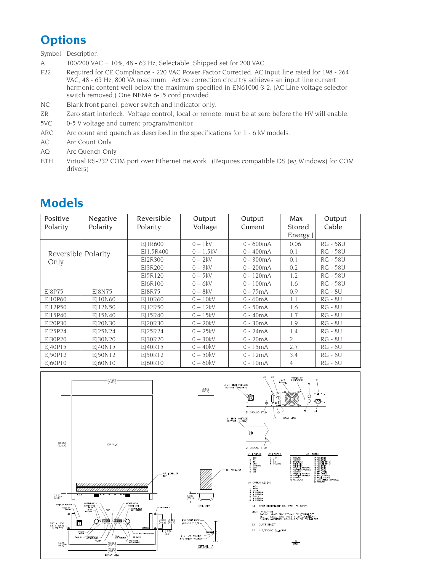## **Options**

Symbol Description

- A 100/200 VAC ± 10%, 48 63 Hz, Selectable. Shipped set for 200 VAC.
- F22 Required for CE Compliance 220 VAC Power Factor Corrected. AC Input line rated for 198 264 VAC, 48 - 63 Hz, 800 VA maximum. Active correction circuitry achieves an input line current harmonic content well below the maximum specified in EN61000-3-2. (AC Line voltage selector switch removed.) One NEMA 6-15 cord provided.
- NC Blank front panel, power switch and indicator only.
- ZR Zero start interlock. Voltage control, local or remote, must be at zero before the HV will enable.
- 5VC 0-5 V voltage and current program/monitor.
- ARC Arc count and quench as described in the specifications for 1 6 kV models.
- AC Arc Count Only
- AQ Arc Quench Only
- ETH Virtual RS-232 COM port over Ethernet network. (Requires compatible OS (eg Windows) for COM drivers)

## **Models**

| Positive<br>Polarity        | Negative<br>Polarity | Reversible<br>Polarity | Output<br>Voltage | Output<br>Current | Max<br>Stored<br>Energy J | Output<br>Cable |
|-----------------------------|----------------------|------------------------|-------------------|-------------------|---------------------------|-----------------|
| Reversible Polarity<br>Only |                      | EJ1R600                | $0 - 1$ kV        | $0 - 600mA$       | 0.06                      | <b>RG - 58U</b> |
|                             |                      | EI1.5R400              | $0 - 1.5kV$       | $0 - 400mA$       | 0.1                       | <b>RG - 58U</b> |
|                             |                      | EI2R300                | $0-2kV$           | $0 - 300mA$       | 0.1                       | RG - 58U        |
|                             |                      | EI3R200                | $0 - 3kV$         | $0 - 200mA$       | 0.2                       | RG - 58U        |
|                             |                      | EJ5R120                | $0 - 5kV$         | $0 - 120mA$       | 1.2                       | <b>RG - 58U</b> |
|                             |                      | EJ6R100                | $0 - 6kV$         | $0 - 100mA$       | 1.6                       | <b>RG - 58U</b> |
| E18P75                      | E18N75               | E18R75                 | $0 - 8kV$         | $0 - 75mA$        | 0.9                       | <b>RG - 8U</b>  |
| E110P60                     | E110N60              | EI10R60                | $0 - 10kV$        | $0 - 60mA$        | 1.1                       | <b>RG - 8U</b>  |
| EI12P50                     | EI12N50              | EJ12R50                | $0 - 12kV$        | $0 - 50mA$        | 1.6                       | <b>RG - 8U</b>  |
| EI15P40                     | EI15N40              | EI15R40                | $0 - 15kV$        | $0 - 40mA$        | 1.7                       | <b>RG - 8U</b>  |
| EI20P30                     | EI20N30              | EI20R30                | $0 - 20kV$        | $0 - 30mA$        | 1.9                       | <b>RG - 8U</b>  |
| EI25P24                     | EI25N24              | EI25R24                | $0 - 25kV$        | $0 - 24mA$        | 1.4                       | RG - 8U         |
| EI30P20                     | EI30N20              | EI30R20                | $0 - 30kV$        | $0 - 20mA$        | $\overline{2}$            | <b>RG - 8U</b>  |
| EJ40P15                     | EJ40N15              | EI40R15                | $0 - 40kV$        | $0 - 15mA$        | 2.7                       | <b>RG - 8U</b>  |
| E150P12                     | E150N12              | E150R12                | $0-50kV$          | $0 - 12mA$        | 3.4                       | <b>RG - 8U</b>  |
| EI60P10                     | E160N10              | E160R10                | $0 - 60$ kV       | $0 - 10mA$        | 4                         | <b>RG - 8U</b>  |